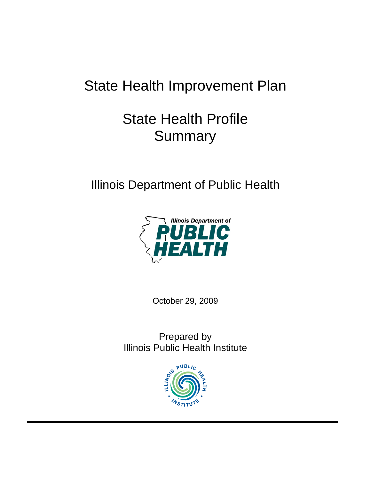# State Health Improvement Plan

# State Health Profile **Summary**

Illinois Department of Public Health



October 29, 2009

Prepared by Illinois Public Health Institute

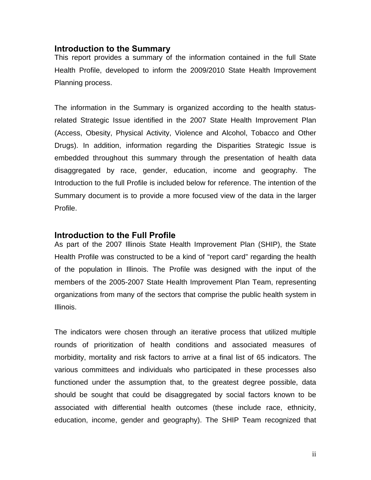### **Introduction to the Summary**

This report provides a summary of the information contained in the full State Health Profile, developed to inform the 2009/2010 State Health Improvement Planning process.

The information in the Summary is organized according to the health statusrelated Strategic Issue identified in the 2007 State Health Improvement Plan (Access, Obesity, Physical Activity, Violence and Alcohol, Tobacco and Other Drugs). In addition, information regarding the Disparities Strategic Issue is embedded throughout this summary through the presentation of health data disaggregated by race, gender, education, income and geography. The Introduction to the full Profile is included below for reference. The intention of the Summary document is to provide a more focused view of the data in the larger Profile.

### **Introduction to the Full Profile**

As part of the 2007 Illinois State Health Improvement Plan (SHIP), the State Health Profile was constructed to be a kind of "report card" regarding the health of the population in Illinois. The Profile was designed with the input of the members of the 2005-2007 State Health Improvement Plan Team, representing organizations from many of the sectors that comprise the public health system in Illinois.

The indicators were chosen through an iterative process that utilized multiple rounds of prioritization of health conditions and associated measures of morbidity, mortality and risk factors to arrive at a final list of 65 indicators. The various committees and individuals who participated in these processes also functioned under the assumption that, to the greatest degree possible, data should be sought that could be disaggregated by social factors known to be associated with differential health outcomes (these include race, ethnicity, education, income, gender and geography). The SHIP Team recognized that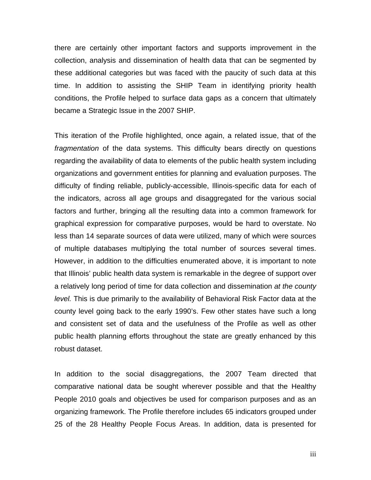there are certainly other important factors and supports improvement in the collection, analysis and dissemination of health data that can be segmented by these additional categories but was faced with the paucity of such data at this time. In addition to assisting the SHIP Team in identifying priority health conditions, the Profile helped to surface data gaps as a concern that ultimately became a Strategic Issue in the 2007 SHIP.

This iteration of the Profile highlighted, once again, a related issue, that of the *fragmentation* of the data systems. This difficulty bears directly on questions regarding the availability of data to elements of the public health system including organizations and government entities for planning and evaluation purposes. The difficulty of finding reliable, publicly-accessible, Illinois-specific data for each of the indicators, across all age groups and disaggregated for the various social factors and further, bringing all the resulting data into a common framework for graphical expression for comparative purposes, would be hard to overstate. No less than 14 separate sources of data were utilized, many of which were sources of multiple databases multiplying the total number of sources several times. However, in addition to the difficulties enumerated above, it is important to note that Illinois' public health data system is remarkable in the degree of support over a relatively long period of time for data collection and dissemination *at the county level.* This is due primarily to the availability of Behavioral Risk Factor data at the county level going back to the early 1990's. Few other states have such a long and consistent set of data and the usefulness of the Profile as well as other public health planning efforts throughout the state are greatly enhanced by this robust dataset.

In addition to the social disaggregations, the 2007 Team directed that comparative national data be sought wherever possible and that the Healthy People 2010 goals and objectives be used for comparison purposes and as an organizing framework. The Profile therefore includes 65 indicators grouped under 25 of the 28 Healthy People Focus Areas. In addition, data is presented for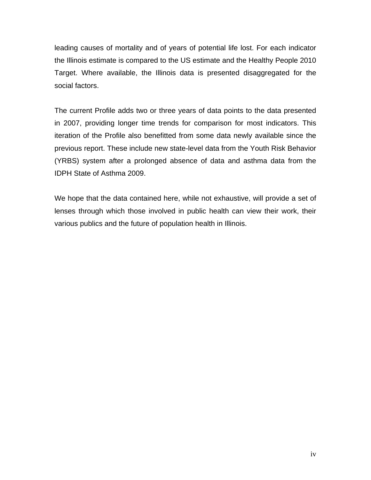leading causes of mortality and of years of potential life lost. For each indicator the Illinois estimate is compared to the US estimate and the Healthy People 2010 Target. Where available, the Illinois data is presented disaggregated for the social factors.

The current Profile adds two or three years of data points to the data presented in 2007, providing longer time trends for comparison for most indicators. This iteration of the Profile also benefitted from some data newly available since the previous report. These include new state-level data from the Youth Risk Behavior (YRBS) system after a prolonged absence of data and asthma data from the IDPH State of Asthma 2009.

We hope that the data contained here, while not exhaustive, will provide a set of lenses through which those involved in public health can view their work, their various publics and the future of population health in Illinois.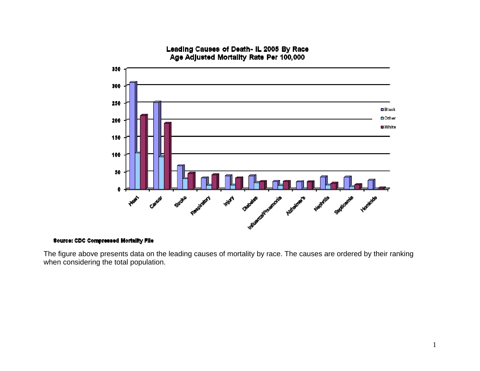

#### Leading Causes of Death- IL 2005 By Race Age Adjusted Mortality Rate Per 100,000

**Source: CDC Compressed Mortality File** 

The figure above presents data on the leading causes of mortality by race. The causes are ordered by their ranking when considering the total population.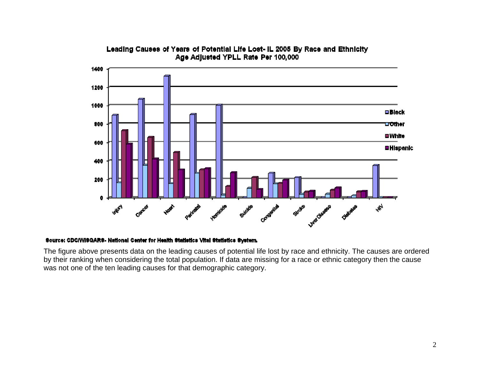

#### Leading Causes of Years of Potential Life Lost- IL 2005 By Race and Ethnicity Age Adjusted YPLL Rate Per 100,000

#### Source: CDC/WISQARS- National Center for Health Statistics Vital Statistics System.

The figure above presents data on the leading causes of potential life lost by race and ethnicity. The causes are ordered by their ranking when considering the total population. If data are missing for a race or ethnic category then the cause was not one of the ten leading causes for that demographic category.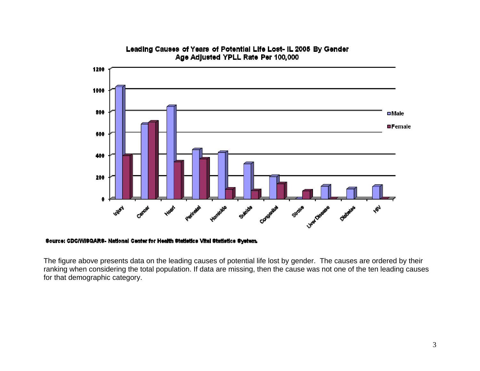

#### Leading Causes of Years of Potential Life Lost- IL 2005 By Gender Age Adjusted YPLL Rate Per 100,000

#### Source: CDC/WISQARS- National Center for Health Statistics Vital Statistics System.

The figure above presents data on the leading causes of potential life lost by gender. The causes are ordered by their ranking when considering the total population. If data are missing, then the cause was not one of the ten leading causes for that demographic category.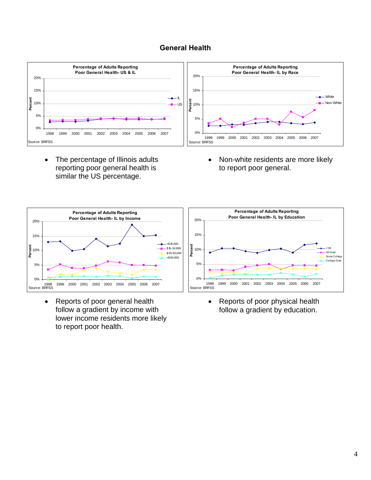#### **General Health**



• The percentage of Illinois adults reporting poor general health is similar the US percentage.



• Reports of poor general health follow a gradient by income with lower income residents more likely to report poor health.

• Non-white residents are more likely to report poor general.



• Reports of poor physical health follow a gradient by education.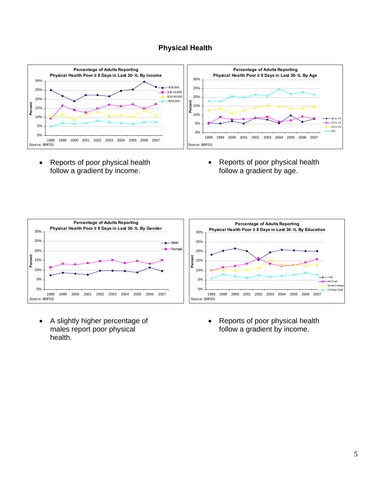# **Physical Health**



• Reports of poor physical health follow a gradient by income.

• Reports of poor physical health follow a gradient by age.



 A slightly higher percentage of males report poor physical health.

• Reports of poor physical health follow a gradient by income.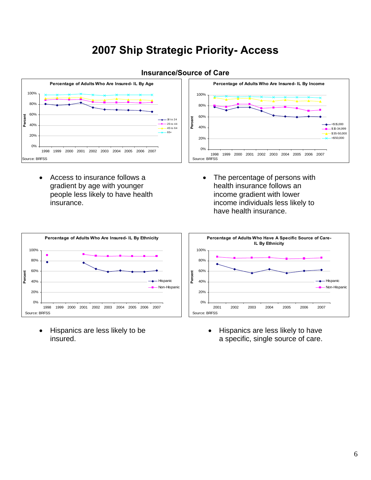# **2007 Ship Strategic Priority- Access**



#### **Insurance/Source of Care**

 Access to insurance follows a gradient by age with younger people less likely to have health insurance.



• The percentage of persons with health insurance follows an income gradient with lower income individuals less likely to have health insurance.



• Hispanics are less likely to be insured.

• Hispanics are less likely to have a specific, single source of care.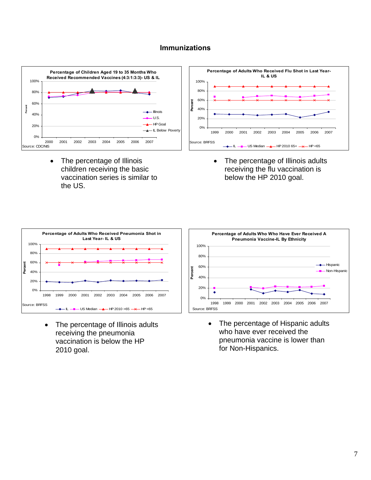#### **Immunizations**



• The percentage of Illinois children receiving the basic vaccination series is similar to the US.



 The percentage of Illinois adults receiving the flu vaccination is below the HP 2010 goal.



• The percentage of Illinois adults receiving the pneumonia vaccination is below the HP 2010 goal.



• The percentage of Hispanic adults who have ever received the pneumonia vaccine is lower than for Non-Hispanics.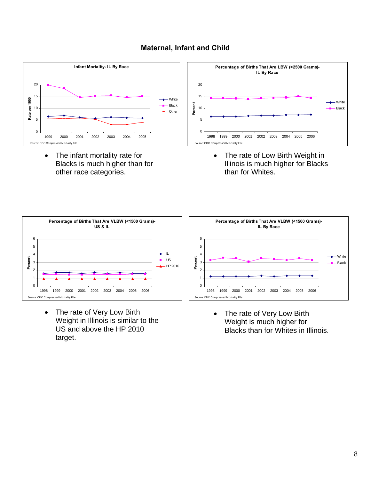



• The infant mortality rate for Blacks is much higher than for other race categories.



• The rate of Low Birth Weight in Illinois is much higher for Blacks than for Whites.



• The rate of Very Low Birth Weight in Illinois is similar to the US and above the HP 2010 target.



• The rate of Very Low Birth Weight is much higher for Blacks than for Whites in Illinois.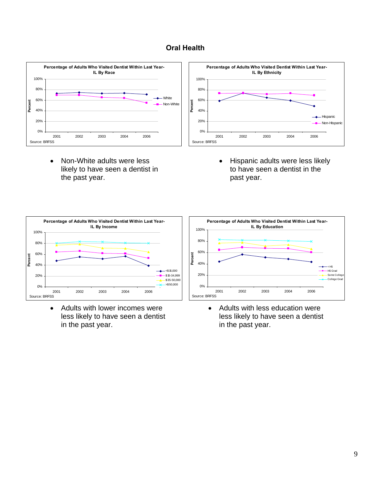# **Oral Health**



• Non-White adults were less likely to have seen a dentist in the past year.



• Hispanic adults were less likely to have seen a dentist in the past year.



 Adults with lower incomes were less likely to have seen a dentist in the past year.



• Adults with less education were less likely to have seen a dentist in the past year.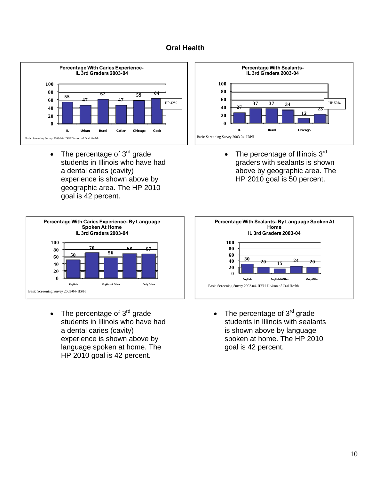# **Oral Health**



• The percentage of  $3<sup>rd</sup>$  grade students in Illinois who have had a dental caries (cavity) experience is shown above by geographic area. The HP 2010 goal is 42 percent.



 $\bullet$  The percentage of Illinois  $3^{\text{rd}}$ graders with sealants is shown above by geographic area. The HP 2010 goal is 50 percent.



 $\bullet$  The percentage of  $3^{\text{rd}}$  grade students in Illinois who have had a dental caries (cavity) experience is shown above by language spoken at home. The HP 2010 goal is 42 percent.



 $\bullet$  The percentage of  $3^{\text{rd}}$  grade students in Illinois with sealants is shown above by language spoken at home. The HP 2010 goal is 42 percent.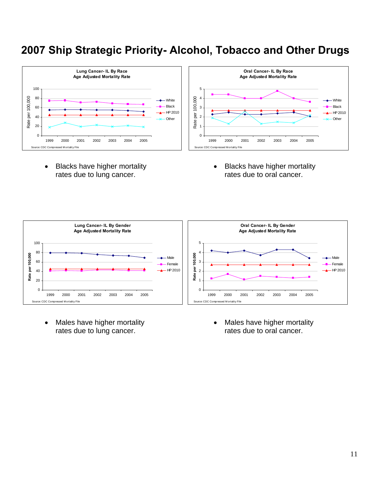# **2007 Ship Strategic Priority- Alcohol, Tobacco and Other Drugs**



• Blacks have higher mortality rates due to lung cancer.

• Blacks have higher mortality rates due to oral cancer.



• Males have higher mortality rates due to lung cancer.

• Males have higher mortality rates due to oral cancer.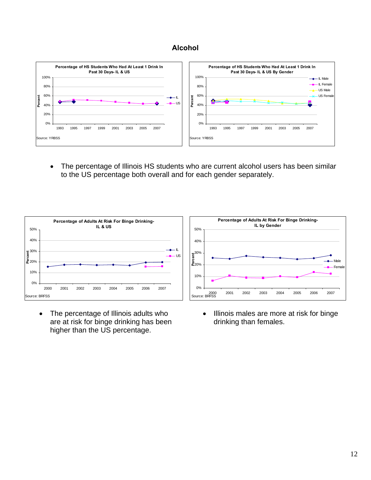## **Alcohol**



 The percentage of Illinois HS students who are current alcohol users has been similar to the US percentage both overall and for each gender separately.



• The percentage of Illinois adults who are at risk for binge drinking has been higher than the US percentage.



• Illinois males are more at risk for binge drinking than females.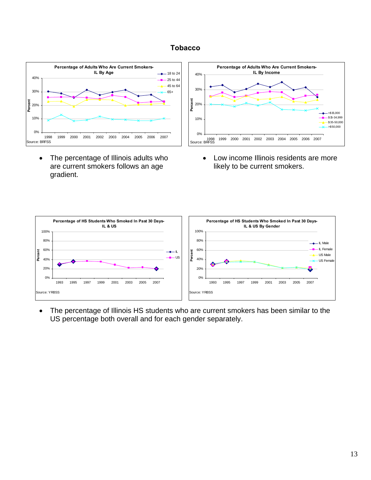## **Tobacco**



 The percentage of Illinois adults who are current smokers follows an age gradient.



 Low income Illinois residents are more likely to be current smokers.



 The percentage of Illinois HS students who are current smokers has been similar to the US percentage both overall and for each gender separately.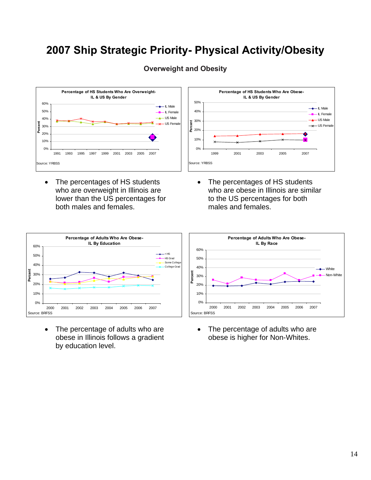# **2007 Ship Strategic Priority- Physical Activity/Obesity**



# **Overweight and Obesity**

• The percentages of HS students who are overweight in Illinois are lower than the US percentages for both males and females.



• The percentages of HS students who are obese in Illinois are similar to the US percentages for both males and females.



- The percentage of adults who are obese in Illinois follows a gradient by education level.
- The percentage of adults who are obese is higher for Non-Whites.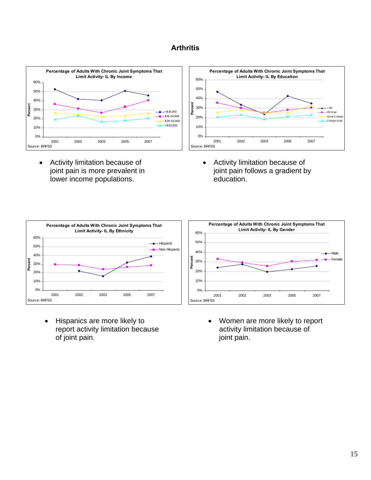# **Arthritis**



 Activity limitation because of joint pain is more prevalent in lower income populations.



 Activity limitation because of joint pain follows a gradient by education.



• Hispanics are more likely to report activity limitation because of joint pain.



 Women are more likely to report activity limitation because of joint pain.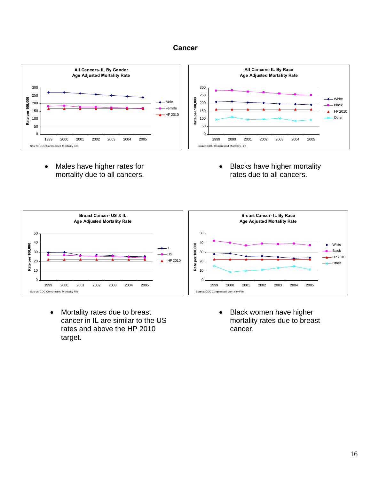### **Cancer**



• Males have higher rates for mortality due to all cancers. • Blacks have higher mortality rates due to all cancers.



 Mortality rates due to breast cancer in IL are similar to the US rates and above the HP 2010 target.

• Black women have higher mortality rates due to breast cancer.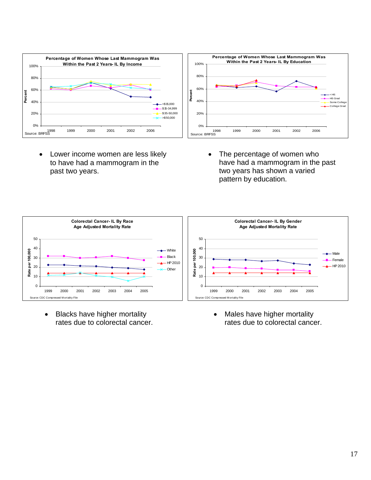

- Lower income women are less likely to have had a mammogram in the past two years.
- The percentage of women who have had a mammogram in the past two years has shown a varied pattern by education.



• Blacks have higher mortality rates due to colorectal cancer. • Males have higher mortality rates due to colorectal cancer.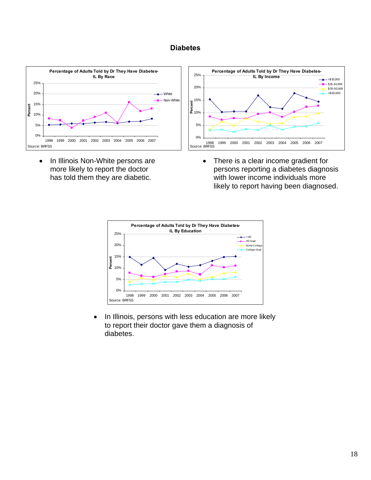#### **Diabetes**



• In Illinois Non-White persons are more likely to report the doctor has told them they are diabetic.



• There is a clear income gradient for persons reporting a diabetes diagnosis with lower income individuals more likely to report having been diagnosed.



• In Illinois, persons with less education are more likely to report their doctor gave them a diagnosis of diabetes.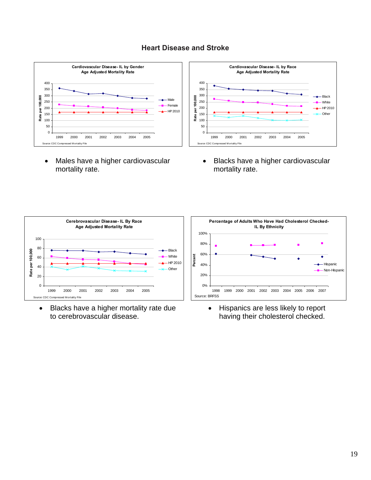### **Heart Disease and Stroke**



• Males have a higher cardiovascular mortality rate.



• Blacks have a higher cardiovascular mortality rate.



 Blacks have a higher mortality rate due to cerebrovascular disease.



• Hispanics are less likely to report having their cholesterol checked.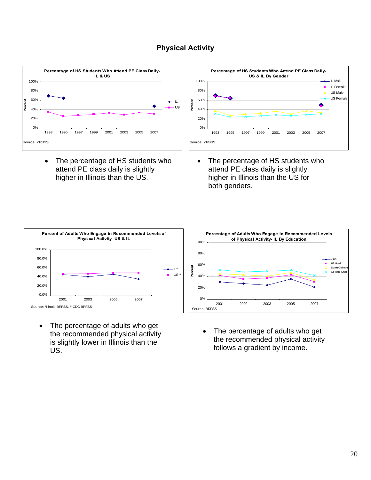# **Physical Activity**



• The percentage of HS students who attend PE class daily is slightly higher in Illinois than the US.



• The percentage of HS students who attend PE class daily is slightly higher in Illinois than the US for both genders.



- The percentage of adults who get the recommended physical activity is slightly lower in Illinois than the US.
- The percentage of adults who get the recommended physical activity follows a gradient by income.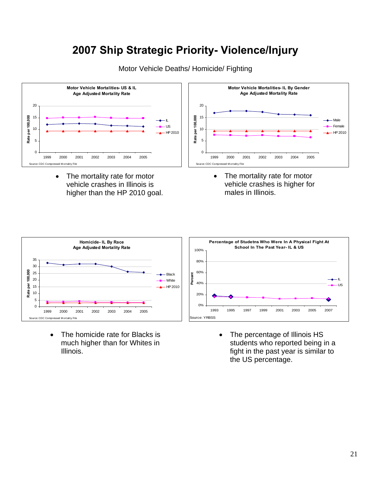# **2007 Ship Strategic Priority- Violence/Injury**



Motor Vehicle Deaths/ Homicide/ Fighting

• The mortality rate for motor vehicle crashes in Illinois is higher than the HP 2010 goal.



• The mortality rate for motor vehicle crashes is higher for males in Illinois.



• The homicide rate for Blacks is much higher than for Whites in Illinois.



• The percentage of Illinois HS students who reported being in a fight in the past year is similar to the US percentage.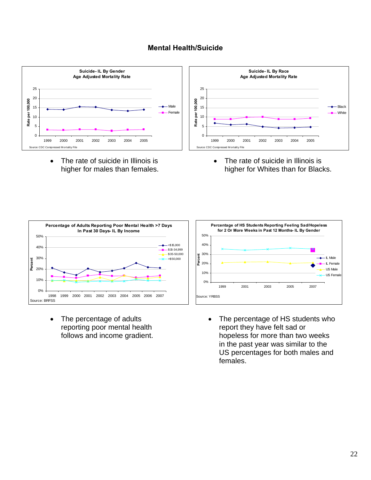### **Mental Health/Suicide**



• The rate of suicide in Illinois is higher for males than females. • The rate of suicide in Illinois is higher for Whites than for Blacks.



• The percentage of adults reporting poor mental health follows and income gradient.



• The percentage of HS students who report they have felt sad or hopeless for more than two weeks in the past year was similar to the US percentages for both males and females.